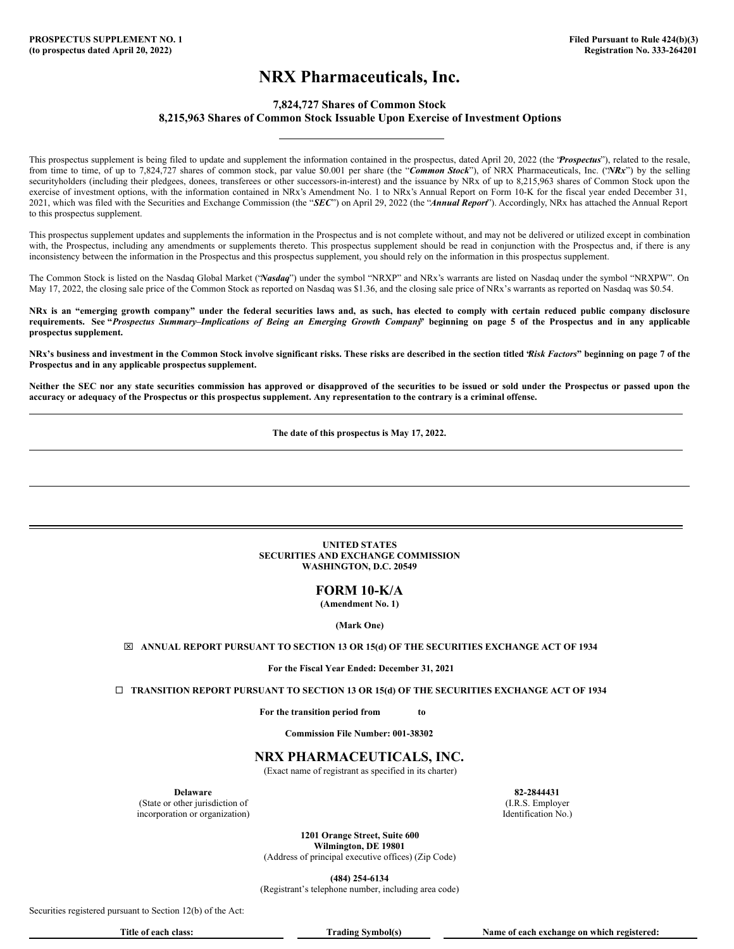# **NRX Pharmaceuticals, Inc.**

## **7,824,727 Shares of Common Stock 8,215,963 Shares of Common Stock Issuable Upon Exercise of Investment Options**

<span id="page-0-0"></span>This prospectus supplement is being filed to update and supplement the information contained in the prospectus, dated April 20, 2022 (the "*Prospectus*"), related to the resale, from time to time, of up to 7,824,727 shares of common stock, par value \$0.001 per share (the "*Common Stock*"), of NRX Pharmaceuticals, Inc. ("*NRx*") by the selling securityholders (including their pledgees, donees, transferees or other successors-in-interest) and the issuance by NRx of up to 8,215,963 shares of Common Stock upon the exercise of investment options, with the information contained in NRx's Amendment No. 1 to NRx's Annual Report on Form 10-K for the fiscal year ended December 31, 2021, which was filed with the Securities and Exchange Commission (the "*SEC*") on April 29, 2022 (the "*Annual Report*"). Accordingly, NRx has attached the Annual Report to this prospectus supplement.

This prospectus supplement updates and supplements the information in the Prospectus and is not complete without, and may not be delivered or utilized except in combination with, the Prospectus, including any amendments or supplements thereto. This prospectus supplement should be read in conjunction with the Prospectus and, if there is any inconsistency between the information in the Prospectus and this prospectus supplement, you should rely on the information in this prospectus supplement.

The Common Stock is listed on the Nasdaq Global Market ("*Nasdaq*") under the symbol "NRXP" and NRx's warrants are listed on Nasdaq under the symbol "NRXPW". On May 17, 2022, the closing sale price of the Common Stock as reported on Nasdaq was \$1.36, and the closing sale price of NRx's warrants as reported on Nasdaq was \$0.54.

NRx is an "emerging growth company" under the federal securities laws and, as such, has elected to comply with certain reduced public company disclosure requirements. See "Prospectus Summary-Implications of Being an Emerging Growth Company" beginning on page 5 of the Prospectus and in any applicable **prospectus supplement.**

NRx's business and investment in the Common Stock involve significant risks. These risks are described in the section titled Risk Factors" beginning on page 7 of the **Prospectus and in any applicable prospectus supplement.**

Neither the SEC nor any state securities commission has approved or disapproved of the securities to be issued or sold under the Prospectus or passed upon the accuracy or adequacy of the Prospectus or this prospectus supplement. Any representation to the contrary is a criminal offense.

**The date of this prospectus is May 17, 2022.**

## **UNITED STATES SECURITIES AND EXCHANGE COMMISSION WASHINGTON, D.C. 20549**

**FORM 10-K/A**

**(Amendment No. 1)**

**(Mark One)**

x **ANNUAL REPORT PURSUANT TO SECTION 13 OR 15(d) OF THE SECURITIES EXCHANGE ACT OF 1934**

**For the Fiscal Year Ended: December 31, 2021**

¨ **TRANSITION REPORT PURSUANT TO SECTION 13 OR 15(d) OF THE SECURITIES EXCHANGE ACT OF 1934**

**For the transition period from to**

**Commission File Number: 001-38302**

## **NRX PHARMACEUTICALS, INC.**

(Exact name of registrant as specified in its charter)

(State or other jurisdiction of (I.R.S. Employer incorporation or organization) Identification No.)

**Delaware 82-2844431**

**1201 Orange Street, Suite 600 Wilmington, DE 19801** (Address of principal executive offices) (Zip Code)

**(484) 254-6134** (Registrant's telephone number, including area code)

Securities registered pursuant to Section 12(b) of the Act:

**Title of each class: Trading Symbol(s) Name of each exchange on which registered:**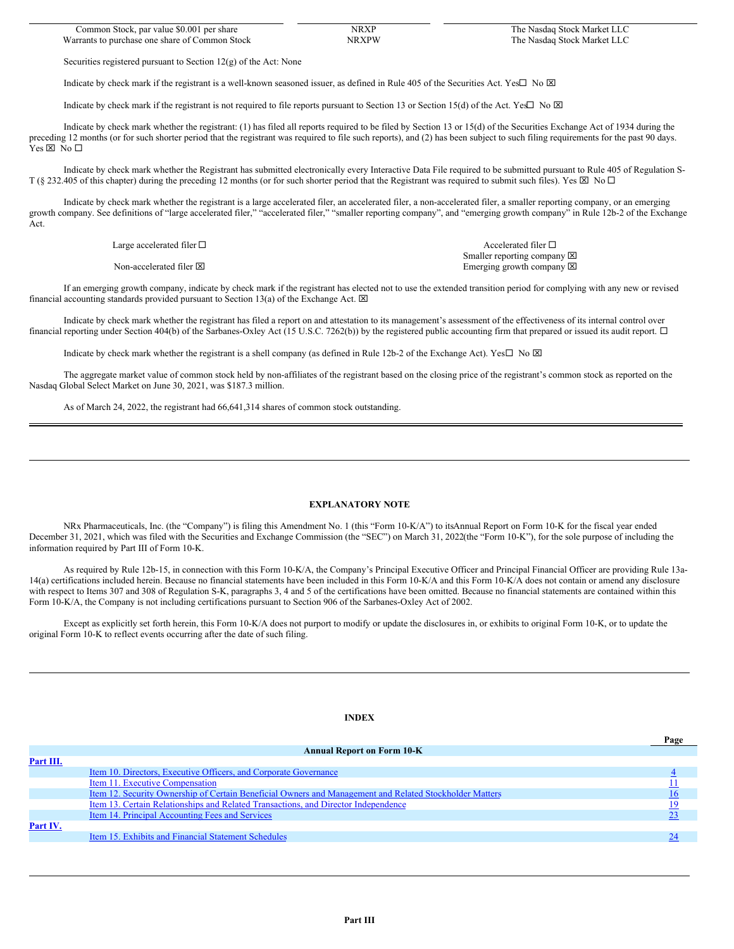| Common Stock, par value \$0.001 per share      | NRXP  | The Nasdaq Stock Market LLC |
|------------------------------------------------|-------|-----------------------------|
| Warrants to purchase one share of Common Stock | NRXPW | The Nasdaq Stock Market LLC |

Securities registered pursuant to Section 12(g) of the Act: None

Indicate by check mark if the registrant is a well-known seasoned issuer, as defined in Rule 405 of the Securities Act. Yes $\Box$  No  $\boxtimes$ 

Indicate by check mark if the registrant is not required to file reports pursuant to Section 13 or Section 15(d) of the Act. Yes $\Box$  No  $\boxtimes$ 

Indicate by check mark whether the registrant: (1) has filed all reports required to be filed by Section 13 or 15(d) of the Securities Exchange Act of 1934 during the preceding 12 months (or for such shorter period that the registrant was required to file such reports), and (2) has been subject to such filing requirements for the past 90 days.  $Yes \boxtimes No \square$ 

Indicate by check mark whether the Registrant has submitted electronically every Interactive Data File required to be submitted pursuant to Rule 405 of Regulation S-T (§ 232.405 of this chapter) during the preceding 12 months (or for such shorter period that the Registrant was required to submit such files). Yes  $\boxtimes$  No  $\Box$ 

Indicate by check mark whether the registrant is a large accelerated filer, an accelerated filer, a non-accelerated filer, a smaller reporting company, or an emerging growth company. See definitions of "large accelerated filer," "accelerated filer," "smaller reporting company", and "emerging growth company" in Rule 12b-2 of the Exchange Act.

Large accelerated filer  $\square$  Accelerated filer  $\square$ 

Non-accelerated filer  $\boxtimes$ 

Smaller reporting company  $\boxtimes$ Emerging growth company  $\boxtimes$ 

If an emerging growth company, indicate by check mark if the registrant has elected not to use the extended transition period for complying with any new or revised financial accounting standards provided pursuant to Section 13(a) of the Exchange Act.  $\boxtimes$ 

Indicate by check mark whether the registrant has filed a report on and attestation to its management's assessment of the effectiveness of its internal control over financial reporting under Section 404(b) of the Sarbanes-Oxley Act (15 U.S.C. 7262(b)) by the registered public accounting firm that prepared or issued its audit report.  $\Box$ 

Indicate by check mark whether the registrant is a shell company (as defined in Rule 12b-2 of the Exchange Act). Yes $\Box$  No  $\boxtimes$ 

The aggregate market value of common stock held by non-affiliates of the registrant based on the closing price of the registrant's common stock as reported on the Nasdaq Global Select Market on June 30, 2021, was \$187.3 million.

As of March 24, 2022, the registrant had 66,641,314 shares of common stock outstanding.

#### **EXPLANATORY NOTE**

NRx Pharmaceuticals, Inc. (the "Company") is filing this Amendment No. 1 (this "Form 10-K/A") to itsAnnual Report on Form 10-K for the fiscal year ended December 31, 2021, which was filed with the Securities and Exchange Commission (the "SEC") on March 31, 2022(the "Form 10-K"), for the sole purpose of including the information required by Part III of Form 10-K.

As required by Rule 12b-15, in connection with this Form 10-K/A, the Company's Principal Executive Officer and Principal Financial Officer are providing Rule 13a-14(a) certifications included herein. Because no financial statements have been included in this Form 10-K/A and this Form 10-K/A does not contain or amend any disclosure with respect to Items 307 and 308 of Regulation S-K, paragraphs 3, 4 and 5 of the certifications have been omitted. Because no financial statements are contained within this Form 10-K/A, the Company is not including certifications pursuant to Section 906 of the Sarbanes-Oxley Act of 2002.

Except as explicitly set forth herein, this Form 10-K/A does not purport to modify or update the disclosures in, or exhibits to original Form 10-K, or to update the original Form 10-K to reflect events occurring after the date of such filing.

#### **INDEX**

|                                                     | <b>Annual Report on Form 10-K</b>                                                                       |  |
|-----------------------------------------------------|---------------------------------------------------------------------------------------------------------|--|
| Part III.                                           |                                                                                                         |  |
|                                                     | <u>Item 10. Directors, Executive Officers, and Corporate Governance</u>                                 |  |
| Item 11. Executive Compensation                     |                                                                                                         |  |
|                                                     | Item 12. Security Ownership of Certain Beneficial Owners and Management and Related Stockholder Matters |  |
|                                                     | <u>Item 13. Certain Relationships and Related Transactions, and Director Independence</u>               |  |
| Item 14. Principal Accounting Fees and Services     |                                                                                                         |  |
| Part IV.                                            |                                                                                                         |  |
| Item 15. Exhibits and Financial Statement Schedules |                                                                                                         |  |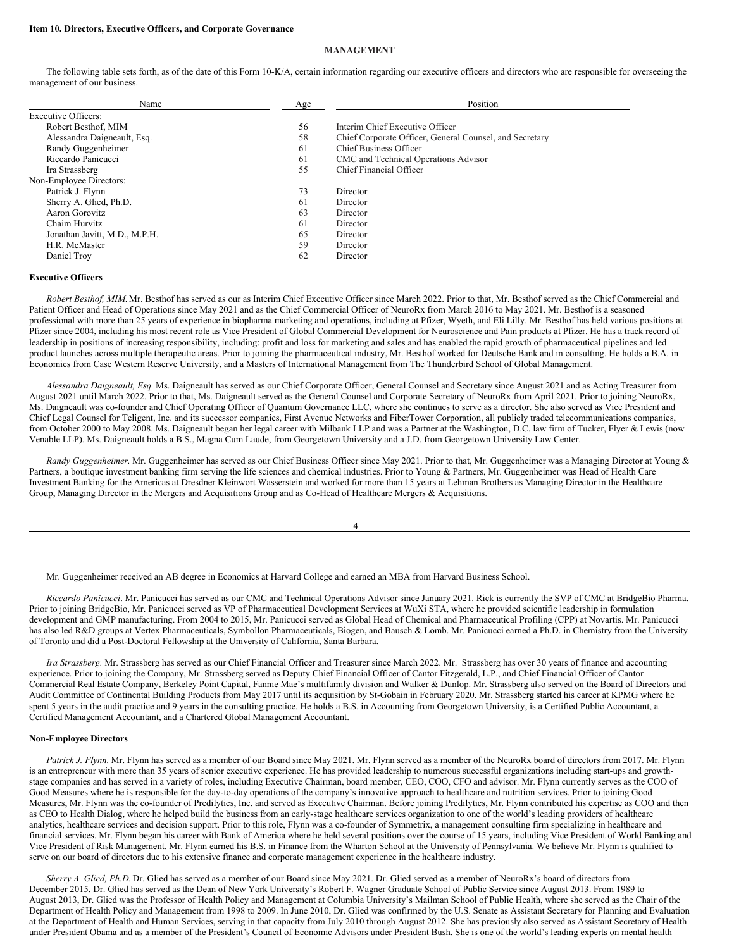#### **Item 10. Directors, Executive Officers, and Corporate Governance**

## **MANAGEMENT**

The following table sets forth, as of the date of this Form 10-K/A, certain information regarding our executive officers and directors who are responsible for overseeing the management of our business.

| Name                          | Age | Position                                                |
|-------------------------------|-----|---------------------------------------------------------|
| <b>Executive Officers:</b>    |     |                                                         |
| Robert Besthof, MIM           | 56  | Interim Chief Executive Officer                         |
| Alessandra Daigneault, Esq.   | 58  | Chief Corporate Officer, General Counsel, and Secretary |
| Randy Guggenheimer            | 61  | Chief Business Officer                                  |
| Riccardo Panicucci            | 61  | CMC and Technical Operations Advisor                    |
| Ira Strassberg                | 55  | Chief Financial Officer                                 |
| Non-Employee Directors:       |     |                                                         |
| Patrick J. Flynn              | 73  | Director                                                |
| Sherry A. Glied, Ph.D.        | 61  | Director                                                |
| Aaron Gorovitz                | 63  | Director                                                |
| Chaim Hurvitz                 | 61  | Director                                                |
| Jonathan Javitt, M.D., M.P.H. | 65  | Director                                                |
| H.R. McMaster                 | 59  | Director                                                |
| Daniel Troy                   | 62  | Director                                                |

#### **Executive Officers**

*Robert Besthof, MIM.*Mr. Besthof has served as our as Interim Chief Executive Officer since March 2022. Prior to that, Mr. Besthof served as the Chief Commercial and Patient Officer and Head of Operations since May 2021 and as the Chief Commercial Officer of NeuroRx from March 2016 to May 2021. Mr. Besthof is a seasoned professional with more than 25 years of experience in biopharma marketing and operations, including at Pfizer, Wyeth, and Eli Lilly. Mr. Besthof has held various positions at Pfizer since 2004, including his most recent role as Vice President of Global Commercial Development for Neuroscience and Pain products at Pfizer. He has a track record of leadership in positions of increasing responsibility, including: profit and loss for marketing and sales and has enabled the rapid growth of pharmaceutical pipelines and led product launches across multiple therapeutic areas. Prior to joining the pharmaceutical industry, Mr. Besthof worked for Deutsche Bank and in consulting. He holds a B.A. in Economics from Case Western Reserve University, and a Masters of International Management from The Thunderbird School of Global Management.

*Alessandra Daigneault, Esq.* Ms. Daigneault has served as our Chief Corporate Officer, General Counsel and Secretary since August 2021 and as Acting Treasurer from August 2021 until March 2022. Prior to that, Ms. Daigneault served as the General Counsel and Corporate Secretary of NeuroRx from April 2021. Prior to joining NeuroRx, Ms. Daigneault was co-founder and Chief Operating Officer of Quantum Governance LLC, where she continues to serve as a director. She also served as Vice President and Chief Legal Counsel for Teligent, Inc. and its successor companies, First Avenue Networks and FiberTower Corporation, all publicly traded telecommunications companies, from October 2000 to May 2008. Ms. Daigneault began her legal career with Milbank LLP and was a Partner at the Washington, D.C. law firm of Tucker, Flyer & Lewis (now Venable LLP). Ms. Daigneault holds a B.S., Magna Cum Laude, from Georgetown University and a J.D. from Georgetown University Law Center.

*Randy Guggenheimer*. Mr. Guggenheimer has served as our Chief Business Officer since May 2021. Prior to that, Mr. Guggenheimer was a Managing Director at Young & Partners, a boutique investment banking firm serving the life sciences and chemical industries. Prior to Young & Partners, Mr. Guggenheimer was Head of Health Care Investment Banking for the Americas at Dresdner Kleinwort Wasserstein and worked for more than 15 years at Lehman Brothers as Managing Director in the Healthcare Group, Managing Director in the Mergers and Acquisitions Group and as Co-Head of Healthcare Mergers & Acquisitions.

4

Mr. Guggenheimer received an AB degree in Economics at Harvard College and earned an MBA from Harvard Business School.

*Riccardo Panicucci*. Mr. Panicucci has served as our CMC and Technical Operations Advisor since January 2021. Rick is currently the SVP of CMC at BridgeBio Pharma. Prior to joining BridgeBio, Mr. Panicucci served as VP of Pharmaceutical Development Services at WuXi STA, where he provided scientific leadership in formulation development and GMP manufacturing. From 2004 to 2015, Mr. Panicucci served as Global Head of Chemical and Pharmaceutical Profiling (CPP) at Novartis. Mr. Panicucci has also led R&D groups at Vertex Pharmaceuticals, Symbollon Pharmaceuticals, Biogen, and Bausch & Lomb. Mr. Panicucci earned a Ph.D. in Chemistry from the University of Toronto and did a Post-Doctoral Fellowship at the University of California, Santa Barbara.

*Ira Strassberg.* Mr. Strassberg has served as our Chief Financial Officer and Treasurer since March 2022. Mr. Strassberg has over 30 years of finance and accounting experience. Prior to joining the Company, Mr. Strassberg served as Deputy Chief Financial Officer of Cantor Fitzgerald, L.P., and Chief Financial Officer of Cantor Commercial Real Estate Company, Berkeley Point Capital, Fannie Mae's multifamily division and Walker & Dunlop. Mr. Strassberg also served on the Board of Directors and Audit Committee of Continental Building Products from May 2017 until its acquisition by St-Gobain in February 2020. Mr. Strassberg started his career at KPMG where he spent 5 years in the audit practice and 9 years in the consulting practice. He holds a B.S. in Accounting from Georgetown University, is a Certified Public Accountant, a Certified Management Accountant, and a Chartered Global Management Accountant.

## **Non-Employee Directors**

*Patrick J. Flynn.* Mr. Flynn has served as a member of our Board since May 2021. Mr. Flynn served as a member of the NeuroRx board of directors from 2017. Mr. Flynn is an entrepreneur with more than 35 years of senior executive experience. He has provided leadership to numerous successful organizations including start-ups and growthstage companies and has served in a variety of roles, including Executive Chairman, board member, CEO, COO, CFO and advisor. Mr. Flynn currently serves as the COO of Good Measures where he is responsible for the day-to-day operations of the company's innovative approach to healthcare and nutrition services. Prior to joining Good Measures, Mr. Flynn was the co-founder of Predilytics, Inc. and served as Executive Chairman. Before joining Predilytics, Mr. Flynn contributed his expertise as COO and then as CEO to Health Dialog, where he helped build the business from an early-stage healthcare services organization to one of the world's leading providers of healthcare analytics, healthcare services and decision support. Prior to this role, Flynn was a co-founder of Symmetrix, a management consulting firm specializing in healthcare and financial services. Mr. Flynn began his career with Bank of America where he held several positions over the course of 15 years, including Vice President of World Banking and Vice President of Risk Management. Mr. Flynn earned his B.S. in Finance from the Wharton School at the University of Pennsylvania. We believe Mr. Flynn is qualified to serve on our board of directors due to his extensive finance and corporate management experience in the healthcare industry.

*Sherry A. Glied, Ph.D.* Dr. Glied has served as a member of our Board since May 2021. Dr. Glied served as a member of NeuroRx's board of directors from December 2015. Dr. Glied has served as the Dean of New York University's Robert F. Wagner Graduate School of Public Service since August 2013. From 1989 to August 2013, Dr. Glied was the Professor of Health Policy and Management at Columbia University's Mailman School of Public Health, where she served as the Chair of the Department of Health Policy and Management from 1998 to 2009. In June 2010, Dr. Glied was confirmed by the U.S. Senate as Assistant Secretary for Planning and Evaluation at the Department of Health and Human Services, serving in that capacity from July 2010 through August 2012. She has previously also served as Assistant Secretary of Health under President Obama and as a member of the President's Council of Economic Advisors under President Bush. She is one of the world's leading experts on mental health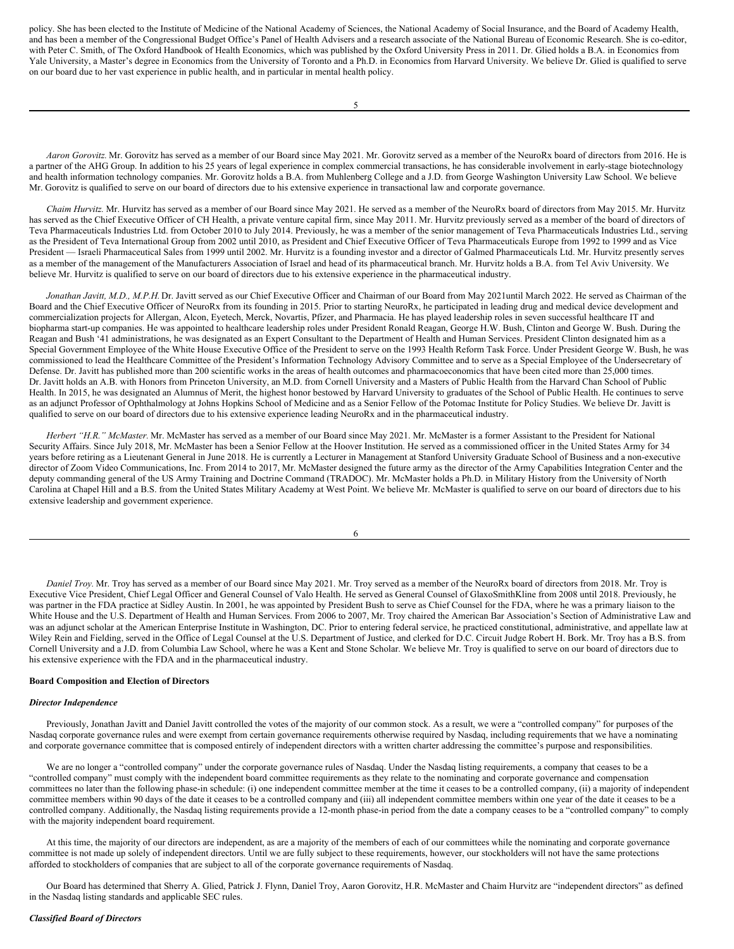policy. She has been elected to the Institute of Medicine of the National Academy of Sciences, the National Academy of Social Insurance, and the Board of Academy Health, and has been a member of the Congressional Budget Office's Panel of Health Advisers and a research associate of the National Bureau of Economic Research. She is co-editor, with Peter C. Smith, of The Oxford Handbook of Health Economics, which was published by the Oxford University Press in 2011. Dr. Glied holds a B.A. in Economics from Yale University, a Master's degree in Economics from the University of Toronto and a Ph.D. in Economics from Harvard University. We believe Dr. Glied is qualified to serve on our board due to her vast experience in public health, and in particular in mental health policy.

*Aaron Gorovitz.* Mr. Gorovitz has served as a member of our Board since May 2021. Mr. Gorovitz served as a member of the NeuroRx board of directors from 2016. He is a partner of the AHG Group. In addition to his 25 years of legal experience in complex commercial transactions, he has considerable involvement in early-stage biotechnology and health information technology companies. Mr. Gorovitz holds a B.A. from Muhlenberg College and a J.D. from George Washington University Law School. We believe Mr. Gorovitz is qualified to serve on our board of directors due to his extensive experience in transactional law and corporate governance.

*Chaim Hurvitz.* Mr. Hurvitz has served as a member of our Board since May 2021. He served as a member of the NeuroRx board of directors from May 2015. Mr. Hurvitz has served as the Chief Executive Officer of CH Health, a private venture capital firm, since May 2011. Mr. Hurvitz previously served as a member of the board of directors of Teva Pharmaceuticals Industries Ltd. from October 2010 to July 2014. Previously, he was a member of the senior management of Teva Pharmaceuticals Industries Ltd., serving as the President of Teva International Group from 2002 until 2010, as President and Chief Executive Officer of Teva Pharmaceuticals Europe from 1992 to 1999 and as Vice President — Israeli Pharmaceutical Sales from 1999 until 2002. Mr. Hurvitz is a founding investor and a director of Galmed Pharmaceuticals Ltd. Mr. Hurvitz presently serves as a member of the management of the Manufacturers Association of Israel and head of its pharmaceutical branch. Mr. Hurvitz holds a B.A. from Tel Aviv University. We believe Mr. Hurvitz is qualified to serve on our board of directors due to his extensive experience in the pharmaceutical industry.

*Jonathan Javitt, M.D., M.P.H.* Dr. Javitt served as our Chief Executive Officer and Chairman of our Board from May 2021until March 2022. He served as Chairman of the Board and the Chief Executive Officer of NeuroRx from its founding in 2015. Prior to starting NeuroRx, he participated in leading drug and medical device development and commercialization projects for Allergan, Alcon, Eyetech, Merck, Novartis, Pfizer, and Pharmacia. He has played leadership roles in seven successful healthcare IT and biopharma start-up companies. He was appointed to healthcare leadership roles under President Ronald Reagan, George H.W. Bush, Clinton and George W. Bush. During the Reagan and Bush '41 administrations, he was designated as an Expert Consultant to the Department of Health and Human Services. President Clinton designated him as a Special Government Employee of the White House Executive Office of the President to serve on the 1993 Health Reform Task Force. Under President George W. Bush, he was commissioned to lead the Healthcare Committee of the President's Information Technology Advisory Committee and to serve as a Special Employee of the Undersecretary of Defense. Dr. Javitt has published more than 200 scientific works in the areas of health outcomes and pharmacoeconomics that have been cited more than 25,000 times. Dr. Javitt holds an A.B. with Honors from Princeton University, an M.D. from Cornell University and a Masters of Public Health from the Harvard Chan School of Public Health. In 2015, he was designated an Alumnus of Merit, the highest honor bestowed by Harvard University to graduates of the School of Public Health. He continues to serve as an adjunct Professor of Ophthalmology at Johns Hopkins School of Medicine and as a Senior Fellow of the Potomac Institute for Policy Studies. We believe Dr. Javitt is qualified to serve on our board of directors due to his extensive experience leading NeuroRx and in the pharmaceutical industry.

*Herbert "H.R." McMaster.* Mr. McMaster has served as a member of our Board since May 2021. Mr. McMaster is a former Assistant to the President for National Security Affairs. Since July 2018, Mr. McMaster has been a Senior Fellow at the Hoover Institution. He served as a commissioned officer in the United States Army for 34 years before retiring as a Lieutenant General in June 2018. He is currently a Lecturer in Management at Stanford University Graduate School of Business and a non-executive director of Zoom Video Communications, Inc. From 2014 to 2017, Mr. McMaster designed the future army as the director of the Army Capabilities Integration Center and the deputy commanding general of the US Army Training and Doctrine Command (TRADOC). Mr. McMaster holds a Ph.D. in Military History from the University of North Carolina at Chapel Hill and a B.S. from the United States Military Academy at West Point. We believe Mr. McMaster is qualified to serve on our board of directors due to his extensive leadership and government experience.

*Daniel Troy.* Mr. Troy has served as a member of our Board since May 2021. Mr. Troy served as a member of the NeuroRx board of directors from 2018. Mr. Troy is Executive Vice President, Chief Legal Officer and General Counsel of Valo Health. He served as General Counsel of GlaxoSmithKline from 2008 until 2018. Previously, he was partner in the FDA practice at Sidley Austin. In 2001, he was appointed by President Bush to serve as Chief Counsel for the FDA, where he was a primary liaison to the White House and the U.S. Department of Health and Human Services. From 2006 to 2007, Mr. Troy chaired the American Bar Association's Section of Administrative Law and was an adjunct scholar at the American Enterprise Institute in Washington, DC. Prior to entering federal service, he practiced constitutional, administrative, and appellate law at Wiley Rein and Fielding, served in the Office of Legal Counsel at the U.S. Department of Justice, and clerked for D.C. Circuit Judge Robert H. Bork. Mr. Troy has a B.S. from Cornell University and a J.D. from Columbia Law School, where he was a Kent and Stone Scholar. We believe Mr. Troy is qualified to serve on our board of directors due to his extensive experience with the FDA and in the pharmaceutical industry.

## **Board Composition and Election of Directors**

## *Director Independence*

Previously, Jonathan Javitt and Daniel Javitt controlled the votes of the majority of our common stock. As a result, we were a "controlled company" for purposes of the Nasdaq corporate governance rules and were exempt from certain governance requirements otherwise required by Nasdaq, including requirements that we have a nominating and corporate governance committee that is composed entirely of independent directors with a written charter addressing the committee's purpose and responsibilities.

We are no longer a "controlled company" under the corporate governance rules of Nasdaq. Under the Nasdaq listing requirements, a company that ceases to be a "controlled company" must comply with the independent board committee requirements as they relate to the nominating and corporate governance and compensation committees no later than the following phase-in schedule: (i) one independent committee member at the time it ceases to be a controlled company, (ii) a majority of independent committee members within 90 days of the date it ceases to be a controlled company and (iii) all independent committee members within one year of the date it ceases to be a controlled company. Additionally, the Nasdaq listing requirements provide a 12-month phase-in period from the date a company ceases to be a "controlled company" to comply with the majority independent board requirement.

At this time, the majority of our directors are independent, as are a majority of the members of each of our committees while the nominating and corporate governance committee is not made up solely of independent directors. Until we are fully subject to these requirements, however, our stockholders will not have the same protections afforded to stockholders of companies that are subject to all of the corporate governance requirements of Nasdaq.

Our Board has determined that Sherry A. Glied, Patrick J. Flynn, Daniel Troy, Aaron Gorovitz, H.R. McMaster and Chaim Hurvitz are "independent directors" as defined in the Nasdaq listing standards and applicable SEC rules.

<sup>6</sup>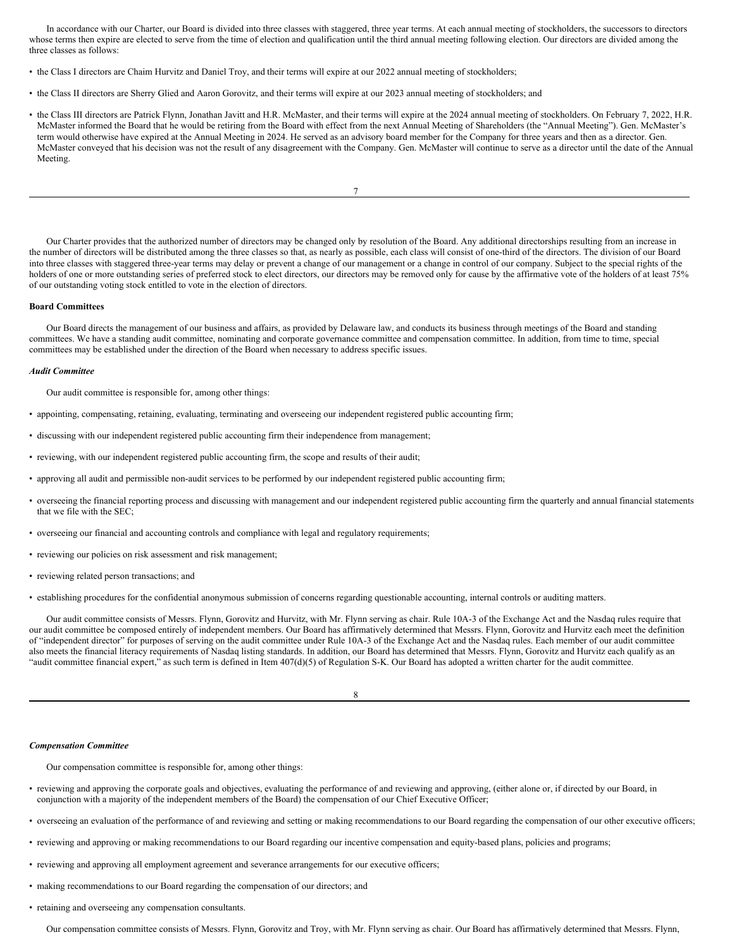In accordance with our Charter, our Board is divided into three classes with staggered, three year terms. At each annual meeting of stockholders, the successors to directors whose terms then expire are elected to serve from the time of election and qualification until the third annual meeting following election. Our directors are divided among the three classes as follows:

- the Class I directors are Chaim Hurvitz and Daniel Troy, and their terms will expire at our 2022 annual meeting of stockholders;
- the Class II directors are Sherry Glied and Aaron Gorovitz, and their terms will expire at our 2023 annual meeting of stockholders; and
- the Class III directors are Patrick Flynn, Jonathan Javitt and H.R. McMaster, and their terms will expire at the 2024 annual meeting of stockholders. On February 7, 2022, H.R. McMaster informed the Board that he would be retiring from the Board with effect from the next Annual Meeting of Shareholders (the "Annual Meeting"). Gen. McMaster's term would otherwise have expired at the Annual Meeting in 2024. He served as an advisory board member for the Company for three years and then as a director. Gen. McMaster conveyed that his decision was not the result of any disagreement with the Company. Gen. McMaster will continue to serve as a director until the date of the Annual Meeting.

7

Our Charter provides that the authorized number of directors may be changed only by resolution of the Board. Any additional directorships resulting from an increase in the number of directors will be distributed among the three classes so that, as nearly as possible, each class will consist of one-third of the directors. The division of our Board into three classes with staggered three-year terms may delay or prevent a change of our management or a change in control of our company. Subject to the special rights of the holders of one or more outstanding series of preferred stock to elect directors, our directors may be removed only for cause by the affirmative vote of the holders of at least 75% of our outstanding voting stock entitled to vote in the election of directors.

#### **Board Committees**

Our Board directs the management of our business and affairs, as provided by Delaware law, and conducts its business through meetings of the Board and standing committees. We have a standing audit committee, nominating and corporate governance committee and compensation committee. In addition, from time to time, special committees may be established under the direction of the Board when necessary to address specific issues.

#### *Audit Committee*

Our audit committee is responsible for, among other things:

- appointing, compensating, retaining, evaluating, terminating and overseeing our independent registered public accounting firm;
- discussing with our independent registered public accounting firm their independence from management;
- reviewing, with our independent registered public accounting firm, the scope and results of their audit;
- approving all audit and permissible non-audit services to be performed by our independent registered public accounting firm;
- overseeing the financial reporting process and discussing with management and our independent registered public accounting firm the quarterly and annual financial statements that we file with the SEC;
- overseeing our financial and accounting controls and compliance with legal and regulatory requirements;
- reviewing our policies on risk assessment and risk management;
- reviewing related person transactions; and

• establishing procedures for the confidential anonymous submission of concerns regarding questionable accounting, internal controls or auditing matters.

Our audit committee consists of Messrs. Flynn, Gorovitz and Hurvitz, with Mr. Flynn serving as chair. Rule 10A-3 of the Exchange Act and the Nasdaq rules require that our audit committee be composed entirely of independent members. Our Board has affirmatively determined that Messrs. Flynn, Gorovitz and Hurvitz each meet the definition of "independent director" for purposes of serving on the audit committee under Rule 10A-3 of the Exchange Act and the Nasdaq rules. Each member of our audit committee also meets the financial literacy requirements of Nasdaq listing standards. In addition, our Board has determined that Messrs. Flynn, Gorovitz and Hurvitz each qualify as an "audit committee financial expert," as such term is defined in Item 407(d)(5) of Regulation S-K. Our Board has adopted a written charter for the audit committee.

8

#### *Compensation Committee*

Our compensation committee is responsible for, among other things:

- reviewing and approving the corporate goals and objectives, evaluating the performance of and reviewing and approving, (either alone or, if directed by our Board, in conjunction with a majority of the independent members of the Board) the compensation of our Chief Executive Officer;
- overseeing an evaluation of the performance of and reviewing and setting or making recommendations to our Board regarding the compensation of our other executive officers;
- reviewing and approving or making recommendations to our Board regarding our incentive compensation and equity-based plans, policies and programs;
- reviewing and approving all employment agreement and severance arrangements for our executive officers;
- making recommendations to our Board regarding the compensation of our directors; and
- retaining and overseeing any compensation consultants.

Our compensation committee consists of Messrs. Flynn, Gorovitz and Troy, with Mr. Flynn serving as chair. Our Board has affirmatively determined that Messrs. Flynn,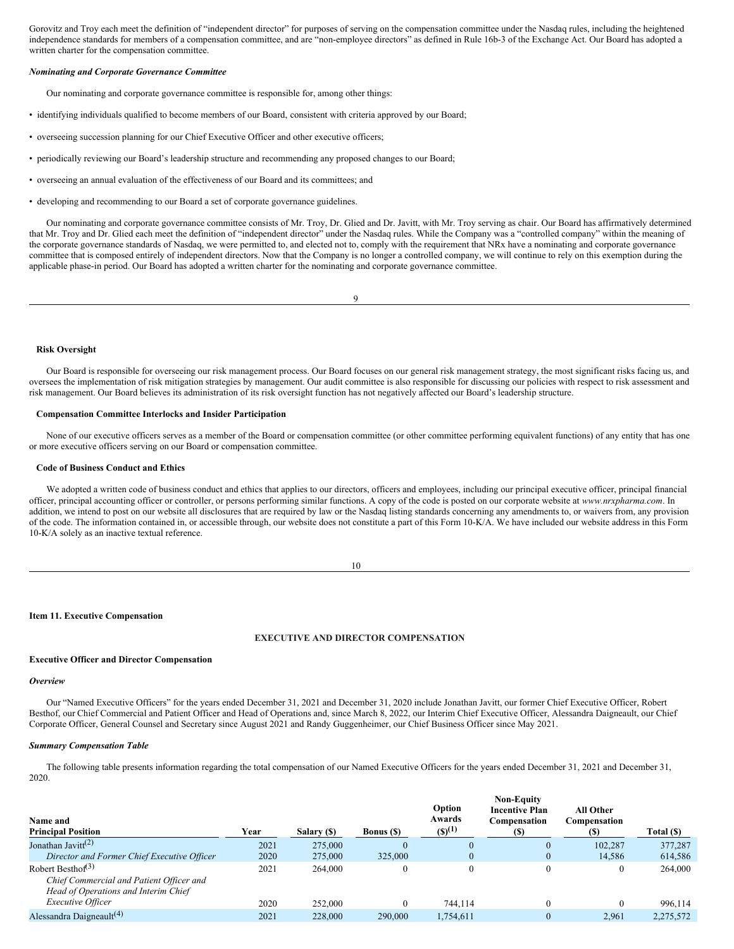Gorovitz and Troy each meet the definition of "independent director" for purposes of serving on the compensation committee under the Nasdaq rules, including the heightened independence standards for members of a compensation committee, and are "non-employee directors" as defined in Rule 16b-3 of the Exchange Act. Our Board has adopted a written charter for the compensation committee.

#### *Nominating and Corporate Governance Committee*

Our nominating and corporate governance committee is responsible for, among other things:

- identifying individuals qualified to become members of our Board, consistent with criteria approved by our Board;
- overseeing succession planning for our Chief Executive Officer and other executive officers;
- periodically reviewing our Board's leadership structure and recommending any proposed changes to our Board;
- overseeing an annual evaluation of the effectiveness of our Board and its committees; and
- developing and recommending to our Board a set of corporate governance guidelines.

Our nominating and corporate governance committee consists of Mr. Troy, Dr. Glied and Dr. Javitt, with Mr. Troy serving as chair. Our Board has affirmatively determined that Mr. Troy and Dr. Glied each meet the definition of "independent director" under the Nasdaq rules. While the Company was a "controlled company" within the meaning of the corporate governance standards of Nasdaq, we were permitted to, and elected not to, comply with the requirement that NRx have a nominating and corporate governance committee that is composed entirely of independent directors. Now that the Company is no longer a controlled company, we will continue to rely on this exemption during the applicable phase-in period. Our Board has adopted a written charter for the nominating and corporate governance committee.

| ٧                      |  |
|------------------------|--|
|                        |  |
| I<br>I<br>ł<br>۰.<br>v |  |

### **Risk Oversight**

Our Board is responsible for overseeing our risk management process. Our Board focuses on our general risk management strategy, the most significant risks facing us, and oversees the implementation of risk mitigation strategies by management. Our audit committee is also responsible for discussing our policies with respect to risk assessment and risk management. Our Board believes its administration of its risk oversight function has not negatively affected our Board's leadership structure.

## **Compensation Committee Interlocks and Insider Participation**

None of our executive officers serves as a member of the Board or compensation committee (or other committee performing equivalent functions) of any entity that has one or more executive officers serving on our Board or compensation committee.

#### **Code of Business Conduct and Ethics**

We adopted a written code of business conduct and ethics that applies to our directors, officers and employees, including our principal executive officer, principal financial officer, principal accounting officer or controller, or persons performing similar functions. A copy of the code is posted on our corporate website at *www.nrxpharma.com*. In addition, we intend to post on our website all disclosures that are required by law or the Nasdaq listing standards concerning any amendments to, or waivers from, any provision of the code. The information contained in, or accessible through, our website does not constitute a part of this Form 10-K/A. We have included our website address in this Form 10-K/A solely as an inactive textual reference.

10

## **Item 11. Executive Compensation**

## **EXECUTIVE AND DIRECTOR COMPENSATION**

## **Executive Officer and Director Compensation**

## *Overview*

Our "Named Executive Officers" for the years ended December 31, 2021 and December 31, 2020 include Jonathan Javitt, our former Chief Executive Officer, Robert Besthof, our Chief Commercial and Patient Officer and Head of Operations and, since March 8, 2022, our Interim Chief Executive Officer, Alessandra Daigneault, our Chief Corporate Officer, General Counsel and Secretary since August 2021 and Randy Guggenheimer, our Chief Business Officer since May 2021.

## *Summary Compensation Table*

The following table presents information regarding the total compensation of our Named Executive Officers for the years ended December 31, 2021 and December 31, 2020.

| Name and<br><b>Principal Position</b>                                                                             | Year | Salary (\$) | <b>Bonus</b> (\$) | Option<br>Awards<br>$(S)^{(1)}$ | <b>Non-Equity</b><br><b>Incentive Plan</b><br>Compensation<br>(S) | <b>All Other</b><br>Compensation<br>(S) | Total (\$) |
|-------------------------------------------------------------------------------------------------------------------|------|-------------|-------------------|---------------------------------|-------------------------------------------------------------------|-----------------------------------------|------------|
| Jonathan Javitt <sup>(2)</sup>                                                                                    | 2021 | 275,000     | $\theta$          | $\theta$                        | $\bf{0}$                                                          | 102.287                                 | 377,287    |
| Director and Former Chief Executive Officer                                                                       | 2020 | 275,000     | 325,000           | $\mathbf{0}$                    | $\mathbf{0}$                                                      | 14.586                                  | 614,586    |
| Robert Besthof <sup>(3)</sup><br>Chief Commercial and Patient Officer and<br>Head of Operations and Interim Chief | 2021 | 264,000     | $\Omega$          | $\theta$                        | $\theta$                                                          | 0                                       | 264,000    |
| <i>Executive Officer</i>                                                                                          | 2020 | 252,000     | $\mathbf{0}$      | 744,114                         | $\theta$                                                          | $\theta$                                | 996.114    |
| Alessandra Daigneault <sup>(4)</sup>                                                                              | 2021 | 228,000     | 290,000           | 1,754,611                       | $\mathbf{0}$                                                      | 2,961                                   | 2,275,572  |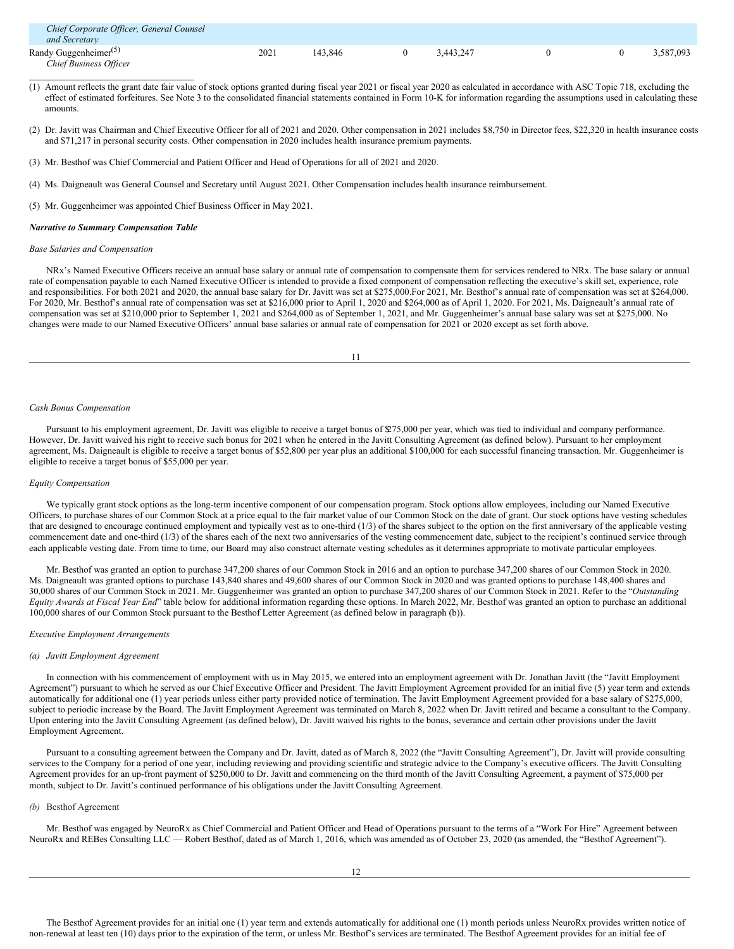| Chief Corporate Officer, General Counsel<br>and Secretary                       |      |         |           |  |           |
|---------------------------------------------------------------------------------|------|---------|-----------|--|-----------|
| Randy Guggenheimer <sup><math>(5)</math></sup><br><b>Chief Business Officer</b> | 2021 | 143.846 | 3.443.247 |  | 3.587.093 |

- (1) Amount reflects the grant date fair value of stock options granted during fiscal year 2021 or fiscal year 2020 as calculated in accordance with ASC Topic 718, excluding the effect of estimated forfeitures. See Note 3 to the consolidated financial statements contained in Form 10-K for information regarding the assumptions used in calculating these amounts.
- (2) Dr. Javitt was Chairman and Chief Executive Officer for all of 2021 and 2020. Other compensation in 2021 includes \$8,750 in Director fees, \$22,320 in health insurance costs and \$71,217 in personal security costs. Other compensation in 2020 includes health insurance premium payments.
- (3) Mr. Besthof was Chief Commercial and Patient Officer and Head of Operations for all of 2021 and 2020.
- (4) Ms. Daigneault was General Counsel and Secretary until August 2021. Other Compensation includes health insurance reimbursement.
- (5) Mr. Guggenheimer was appointed Chief Business Officer in May 2021.

#### *Narrative to Summary Compensation Table*

#### *Base Salaries and Compensation*

NRx's Named Executive Officers receive an annual base salary or annual rate of compensation to compensate them for services rendered to NRx. The base salary or annual rate of compensation payable to each Named Executive Officer is intended to provide a fixed component of compensation reflecting the executive's skill set, experience, role and responsibilities. For both 2021 and 2020, the annual base salary for Dr. Javitt was set at \$275,000.For 2021, Mr. Besthof's annual rate of compensation was set at \$264,000. For 2020, Mr. Besthof's annual rate of compensation was set at \$216,000 prior to April 1, 2020 and \$264,000 as of April 1, 2020. For 2021, Ms. Daigneault's annual rate of compensation was set at \$210,000 prior to September 1, 2021 and \$264,000 as of September 1, 2021, and Mr. Guggenheimer's annual base salary was set at \$275,000. No changes were made to our Named Executive Officers' annual base salaries or annual rate of compensation for 2021 or 2020 except as set forth above.

11

### *Cash Bonus Compensation*

Pursuant to his employment agreement, Dr. Javitt was eligible to receive a target bonus of \$275,000 per year, which was tied to individual and company performance. However, Dr. Javitt waived his right to receive such bonus for 2021 when he entered in the Javitt Consulting Agreement (as defined below). Pursuant to her employment agreement, Ms. Daigneault is eligible to receive a target bonus of \$52,800 per year plus an additional \$100,000 for each successful financing transaction. Mr. Guggenheimer is eligible to receive a target bonus of \$55,000 per year.

#### *Equity Compensation*

We typically grant stock options as the long-term incentive component of our compensation program. Stock options allow employees, including our Named Executive Officers, to purchase shares of our Common Stock at a price equal to the fair market value of our Common Stock on the date of grant. Our stock options have vesting schedules that are designed to encourage continued employment and typically vest as to one-third (1/3) of the shares subject to the option on the first anniversary of the applicable vesting commencement date and one-third (1/3) of the shares each of the next two anniversaries of the vesting commencement date, subject to the recipient's continued service through each applicable vesting date. From time to time, our Board may also construct alternate vesting schedules as it determines appropriate to motivate particular employees.

Mr. Besthof was granted an option to purchase 347,200 shares of our Common Stock in 2016 and an option to purchase 347,200 shares of our Common Stock in 2020. Ms. Daigneault was granted options to purchase 143,840 shares and 49,600 shares of our Common Stock in 2020 and was granted options to purchase 148,400 shares and 30,000 shares of our Common Stock in 2021. Mr. Guggenheimer was granted an option to purchase 347,200 shares of our Common Stock in 2021. Refer to the "*Outstanding Equity Awards at Fiscal Year End*" table below for additional information regarding these options. In March 2022, Mr. Besthof was granted an option to purchase an additional 100,000 shares of our Common Stock pursuant to the Besthof Letter Agreement (as defined below in paragraph (b)).

## *Executive Employment Arrangements*

#### *(a) Javitt Employment Agreement*

In connection with his commencement of employment with us in May 2015, we entered into an employment agreement with Dr. Jonathan Javitt (the "Javitt Employment Agreement") pursuant to which he served as our Chief Executive Officer and President. The Javitt Employment Agreement provided for an initial five (5) year term and extends automatically for additional one (1) year periods unless either party provided notice of termination. The Javitt Employment Agreement provided for a base salary of \$275,000, subject to periodic increase by the Board. The Javitt Employment Agreement was terminated on March 8, 2022 when Dr. Javitt retired and became a consultant to the Company. Upon entering into the Javitt Consulting Agreement (as defined below), Dr. Javitt waived his rights to the bonus, severance and certain other provisions under the Javitt Employment Agreement.

Pursuant to a consulting agreement between the Company and Dr. Javitt, dated as of March 8, 2022 (the "Javitt Consulting Agreement"), Dr. Javitt will provide consulting services to the Company for a period of one year, including reviewing and providing scientific and strategic advice to the Company's executive officers. The Javitt Consulting Agreement provides for an up-front payment of \$250,000 to Dr. Javitt and commencing on the third month of the Javitt Consulting Agreement, a payment of \$75,000 per month, subject to Dr. Javitt's continued performance of his obligations under the Javitt Consulting Agreement.

#### *(b)* Besthof Agreement

Mr. Besthof was engaged by NeuroRx as Chief Commercial and Patient Officer and Head of Operations pursuant to the terms of a "Work For Hire" Agreement between NeuroRx and REBes Consulting LLC — Robert Besthof, dated as of March 1, 2016, which was amended as of October 23, 2020 (as amended, the "Besthof Agreement").

The Besthof Agreement provides for an initial one (1) year term and extends automatically for additional one (1) month periods unless NeuroRx provides written notice of non-renewal at least ten (10) days prior to the expiration of the term, or unless Mr. Besthof's services are terminated. The Besthof Agreement provides for an initial fee of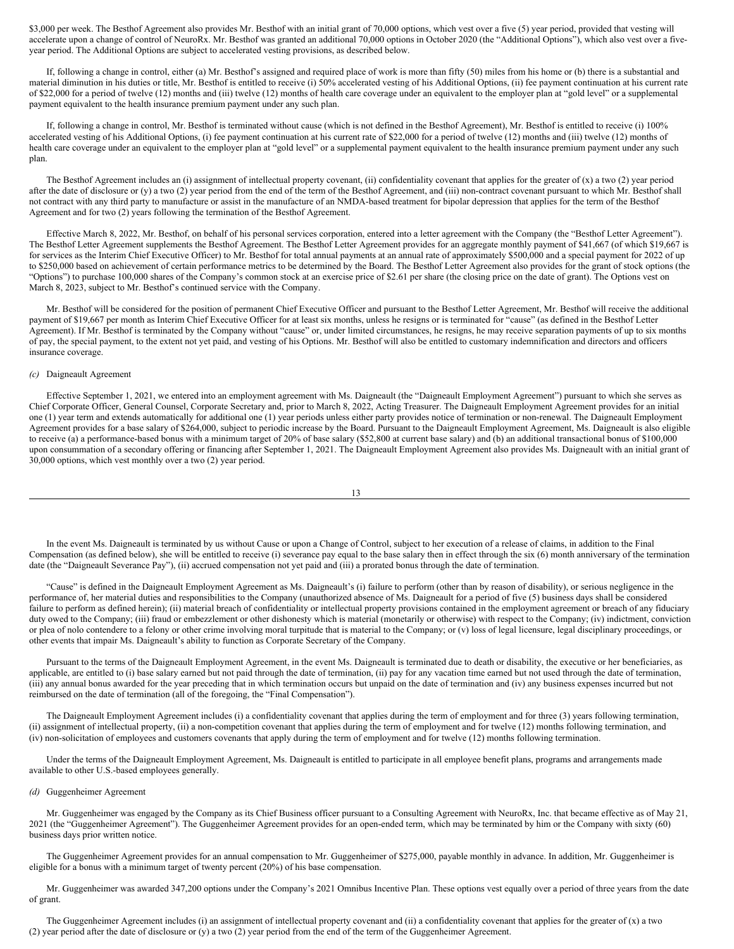\$3,000 per week. The Besthof Agreement also provides Mr. Besthof with an initial grant of 70,000 options, which vest over a five (5) year period, provided that vesting will accelerate upon a change of control of NeuroRx. Mr. Besthof was granted an additional 70,000 options in October 2020 (the "Additional Options"), which also vest over a fiveyear period. The Additional Options are subject to accelerated vesting provisions, as described below.

If, following a change in control, either (a) Mr. Besthof's assigned and required place of work is more than fifty (50) miles from his home or (b) there is a substantial and material diminution in his duties or title, Mr. Besthof is entitled to receive (i) 50% accelerated vesting of his Additional Options, (ii) fee payment continuation at his current rate of \$22,000 for a period of twelve (12) months and (iii) twelve (12) months of health care coverage under an equivalent to the employer plan at "gold level" or a supplemental payment equivalent to the health insurance premium payment under any such plan.

If, following a change in control, Mr. Besthof is terminated without cause (which is not defined in the Besthof Agreement), Mr. Besthof is entitled to receive (i) 100% accelerated vesting of his Additional Options, (i) fee payment continuation at his current rate of \$22,000 for a period of twelve (12) months and (iii) twelve (12) months of health care coverage under an equivalent to the employer plan at "gold level" or a supplemental payment equivalent to the health insurance premium payment under any such plan.

The Besthof Agreement includes an (i) assignment of intellectual property covenant, (ii) confidentiality covenant that applies for the greater of (x) a two (2) year period after the date of disclosure or (y) a two (2) year period from the end of the term of the Besthof Agreement, and (iii) non-contract covenant pursuant to which Mr. Besthof shall not contract with any third party to manufacture or assist in the manufacture of an NMDA-based treatment for bipolar depression that applies for the term of the Besthof Agreement and for two (2) years following the termination of the Besthof Agreement.

Effective March 8, 2022, Mr. Besthof, on behalf of his personal services corporation, entered into a letter agreement with the Company (the "Besthof Letter Agreement"). The Besthof Letter Agreement supplements the Besthof Agreement. The Besthof Letter Agreement provides for an aggregate monthly payment of \$41,667 (of which \$19,667 is for services as the Interim Chief Executive Officer) to Mr. Besthof for total annual payments at an annual rate of approximately \$500,000 and a special payment for 2022 of up to \$250,000 based on achievement of certain performance metrics to be determined by the Board. The Besthof Letter Agreement also provides for the grant of stock options (the "Options") to purchase 100,000 shares of the Company's common stock at an exercise price of \$2.61 per share (the closing price on the date of grant). The Options vest on March 8, 2023, subject to Mr. Besthof's continued service with the Company.

Mr. Besthof will be considered for the position of permanent Chief Executive Officer and pursuant to the Besthof Letter Agreement, Mr. Besthof will receive the additional payment of \$19,667 per month as Interim Chief Executive Officer for at least six months, unless he resigns or is terminated for "cause" (as defined in the Besthof Letter Agreement). If Mr. Besthof is terminated by the Company without "cause" or, under limited circumstances, he resigns, he may receive separation payments of up to six months of pay, the special payment, to the extent not yet paid, and vesting of his Options. Mr. Besthof will also be entitled to customary indemnification and directors and officers insurance coverage.

## *(c)* Daigneault Agreement

Effective September 1, 2021, we entered into an employment agreement with Ms. Daigneault (the "Daigneault Employment Agreement") pursuant to which she serves as Chief Corporate Officer, General Counsel, Corporate Secretary and, prior to March 8, 2022, Acting Treasurer. The Daigneault Employment Agreement provides for an initial one (1) year term and extends automatically for additional one (1) year periods unless either party provides notice of termination or non-renewal. The Daigneault Employment Agreement provides for a base salary of \$264,000, subject to periodic increase by the Board. Pursuant to the Daigneault Employment Agreement, Ms. Daigneault is also eligible to receive (a) a performance-based bonus with a minimum target of 20% of base salary (\$52,800 at current base salary) and (b) an additional transactional bonus of \$100,000 upon consummation of a secondary offering or financing after September 1, 2021. The Daigneault Employment Agreement also provides Ms. Daigneault with an initial grant of 30,000 options, which vest monthly over a two (2) year period.

13

In the event Ms. Daigneault is terminated by us without Cause or upon a Change of Control, subject to her execution of a release of claims, in addition to the Final Compensation (as defined below), she will be entitled to receive (i) severance pay equal to the base salary then in effect through the six (6) month anniversary of the termination date (the "Daigneault Severance Pay"), (ii) accrued compensation not yet paid and (iii) a prorated bonus through the date of termination.

"Cause" is defined in the Daigneault Employment Agreement as Ms. Daigneault's (i) failure to perform (other than by reason of disability), or serious negligence in the performance of, her material duties and responsibilities to the Company (unauthorized absence of Ms. Daigneault for a period of five (5) business days shall be considered failure to perform as defined herein); (ii) material breach of confidentiality or intellectual property provisions contained in the employment agreement or breach of any fiduciary duty owed to the Company; (iii) fraud or embezzlement or other dishonesty which is material (monetarily or otherwise) with respect to the Company; (iv) indictment, conviction or plea of nolo contendere to a felony or other crime involving moral turpitude that is material to the Company; or (v) loss of legal licensure, legal disciplinary proceedings, or other events that impair Ms. Daigneault's ability to function as Corporate Secretary of the Company.

Pursuant to the terms of the Daigneault Employment Agreement, in the event Ms. Daigneault is terminated due to death or disability, the executive or her beneficiaries, as applicable, are entitled to (i) base salary earned but not paid through the date of termination, (ii) pay for any vacation time earned but not used through the date of termination, (iii) any annual bonus awarded for the year preceding that in which termination occurs but unpaid on the date of termination and (iv) any business expenses incurred but not reimbursed on the date of termination (all of the foregoing, the "Final Compensation").

The Daigneault Employment Agreement includes (i) a confidentiality covenant that applies during the term of employment and for three (3) years following termination, (ii) assignment of intellectual property, (ii) a non-competition covenant that applies during the term of employment and for twelve (12) months following termination, and (iv) non-solicitation of employees and customers covenants that apply during the term of employment and for twelve (12) months following termination.

Under the terms of the Daigneault Employment Agreement, Ms. Daigneault is entitled to participate in all employee benefit plans, programs and arrangements made available to other U.S.-based employees generally.

## *(d)* Guggenheimer Agreement

Mr. Guggenheimer was engaged by the Company as its Chief Business officer pursuant to a Consulting Agreement with NeuroRx, Inc. that became effective as of May 21, 2021 (the "Guggenheimer Agreement"). The Guggenheimer Agreement provides for an open-ended term, which may be terminated by him or the Company with sixty (60) business days prior written notice.

The Guggenheimer Agreement provides for an annual compensation to Mr. Guggenheimer of \$275,000, payable monthly in advance. In addition, Mr. Guggenheimer is eligible for a bonus with a minimum target of twenty percent (20%) of his base compensation.

Mr. Guggenheimer was awarded 347,200 options under the Company's 2021 Omnibus Incentive Plan. These options vest equally over a period of three years from the date of grant.

The Guggenheimer Agreement includes (i) an assignment of intellectual property covenant and (ii) a confidentiality covenant that applies for the greater of (x) a two (2) year period after the date of disclosure or (y) a two (2) year period from the end of the term of the Guggenheimer Agreement.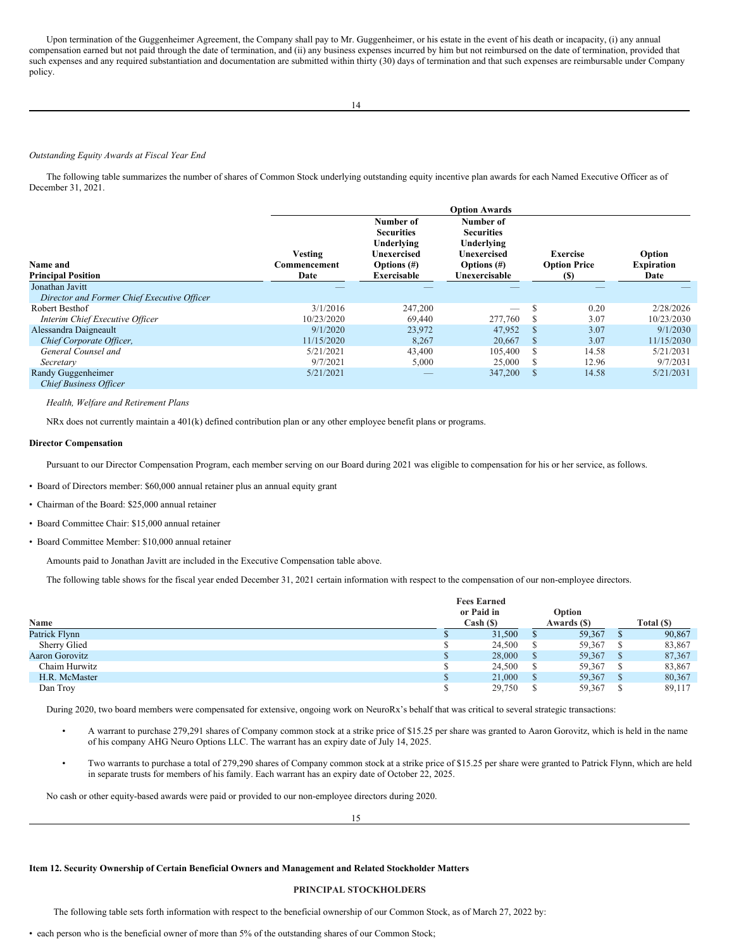Upon termination of the Guggenheimer Agreement, the Company shall pay to Mr. Guggenheimer, or his estate in the event of his death or incapacity, (i) any annual compensation earned but not paid through the date of termination, and (ii) any business expenses incurred by him but not reimbursed on the date of termination, provided that such expenses and any required substantiation and documentation are submitted within thirty (30) days of termination and that such expenses are reimbursable under Company policy.

#### *Outstanding Equity Awards at Fiscal Year End*

The following table summarizes the number of shares of Common Stock underlying outstanding equity incentive plan awards for each Named Executive Officer as of December 31, 2021.

| Name and<br><b>Principal Position</b>                          | <b>Vesting</b><br>Commencement<br>Date | Number of<br><b>Securities</b><br>Underlying<br>Unexercised<br>Options $(\#)$<br><b>Exercisable</b> | <b>Option Awards</b><br>Number of<br><b>Securities</b><br>Underlying<br>Unexercised<br>Options $(\#)$<br>Unexercisable |               | Exercise<br><b>Option Price</b><br>(\$) | Option<br><b>Expiration</b><br>Date |
|----------------------------------------------------------------|----------------------------------------|-----------------------------------------------------------------------------------------------------|------------------------------------------------------------------------------------------------------------------------|---------------|-----------------------------------------|-------------------------------------|
| Jonathan Javitt<br>Director and Former Chief Executive Officer |                                        |                                                                                                     |                                                                                                                        |               |                                         |                                     |
| Robert Besthof                                                 | 3/1/2016                               | 247,200                                                                                             |                                                                                                                        |               | 0.20                                    | 2/28/2026                           |
|                                                                | 10/23/2020                             | 69,440                                                                                              | 277,760                                                                                                                |               | 3.07                                    | 10/23/2030                          |
| Interim Chief Executive Officer                                |                                        |                                                                                                     |                                                                                                                        |               |                                         |                                     |
| Alessandra Daigneault                                          | 9/1/2020                               | 23,972                                                                                              | 47,952                                                                                                                 |               | 3.07                                    | 9/1/2030                            |
| Chief Corporate Officer,                                       | 11/15/2020                             | 8,267                                                                                               | 20,667                                                                                                                 | -S            | 3.07                                    | 11/15/2030                          |
| General Counsel and                                            | 5/21/2021                              | 43,400                                                                                              | 105,400                                                                                                                | -S            | 14.58                                   | 5/21/2031                           |
| Secretary                                                      | 9/7/2021                               | 5,000                                                                                               | 25,000                                                                                                                 | <b>S</b>      | 12.96                                   | 9/7/2031                            |
| Randy Guggenheimer<br><b>Chief Business Officer</b>            | 5/21/2021                              |                                                                                                     | 347,200                                                                                                                | <sup>\$</sup> | 14.58                                   | 5/21/2031                           |

*Health, Welfare and Retirement Plans*

NRx does not currently maintain a 401(k) defined contribution plan or any other employee benefit plans or programs.

#### **Director Compensation**

Pursuant to our Director Compensation Program, each member serving on our Board during 2021 was eligible to compensation for his or her service, as follows.

- Board of Directors member: \$60,000 annual retainer plus an annual equity grant
- Chairman of the Board: \$25,000 annual retainer
- Board Committee Chair: \$15,000 annual retainer
- Board Committee Member: \$10,000 annual retainer

Amounts paid to Jonathan Javitt are included in the Executive Compensation table above.

The following table shows for the fiscal year ended December 31, 2021 certain information with respect to the compensation of our non-employee directors.

| Name           | <b>Fees Earned</b><br>or Paid in<br>Cash ( <sub>s</sub> ) | Option<br>Awards (\$) |              | Total (\$) |
|----------------|-----------------------------------------------------------|-----------------------|--------------|------------|
| Patrick Flynn  | 31,500                                                    | 59,367                |              | 90,867     |
| Sherry Glied   | 24,500                                                    | 59,367                |              | 83,867     |
| Aaron Gorovitz | 28,000                                                    | 59,367                |              | 87,367     |
| Chaim Hurwitz  | 24,500                                                    | 59,367                |              | 83,867     |
| H.R. McMaster  | 21,000                                                    | 59,367                | <sup>8</sup> | 80,367     |
| Dan Troy       | 29,750                                                    | 59,367                |              | 89,117     |

During 2020, two board members were compensated for extensive, ongoing work on NeuroRx's behalf that was critical to several strategic transactions:

- A warrant to purchase 279,291 shares of Company common stock at a strike price of \$15.25 per share was granted to Aaron Gorovitz, which is held in the name of his company AHG Neuro Options LLC. The warrant has an expiry date of July 14, 2025.
- Two warrants to purchase a total of 279,290 shares of Company common stock at a strike price of \$15.25 per share were granted to Patrick Flynn, which are held in separate trusts for members of his family. Each warrant has an expiry date of October 22, 2025.

No cash or other equity-based awards were paid or provided to our non-employee directors during 2020.

15

**Item 12. Security Ownership of Certain Beneficial Owners and Management and Related Stockholder Matters**

## **PRINCIPAL STOCKHOLDERS**

The following table sets forth information with respect to the beneficial ownership of our Common Stock, as of March 27, 2022 by: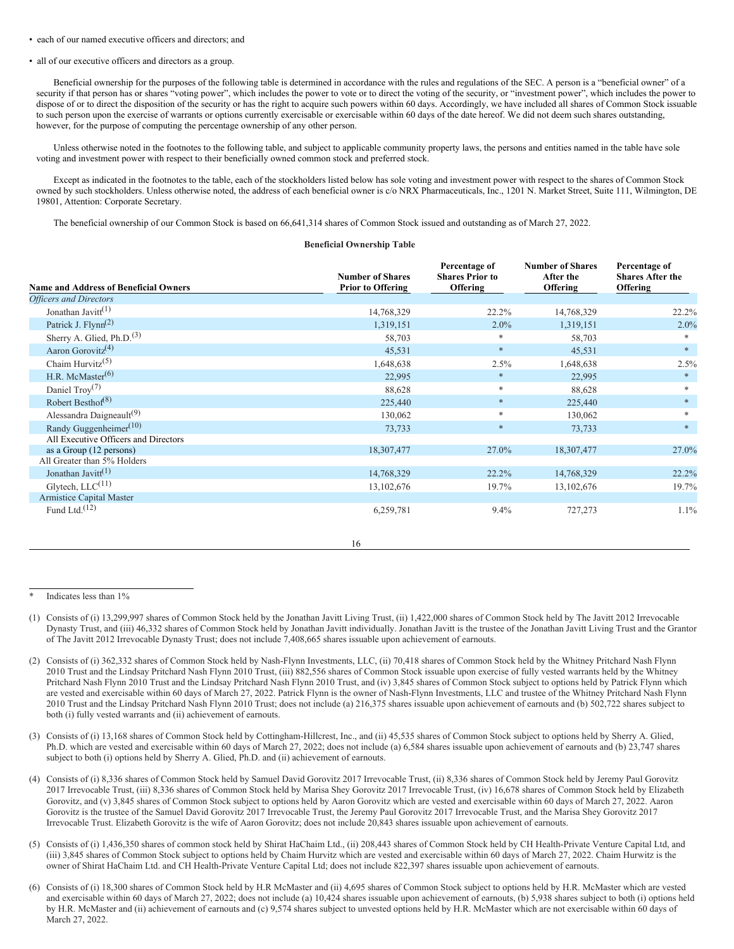#### • each of our named executive officers and directors; and

#### • all of our executive officers and directors as a group.

Beneficial ownership for the purposes of the following table is determined in accordance with the rules and regulations of the SEC. A person is a "beneficial owner" of a security if that person has or shares "voting power", which includes the power to vote or to direct the voting of the security, or "investment power", which includes the power to dispose of or to direct the disposition of the security or has the right to acquire such powers within 60 days. Accordingly, we have included all shares of Common Stock issuable to such person upon the exercise of warrants or options currently exercisable or exercisable within 60 days of the date hereof. We did not deem such shares outstanding, however, for the purpose of computing the percentage ownership of any other person.

Unless otherwise noted in the footnotes to the following table, and subject to applicable community property laws, the persons and entities named in the table have sole voting and investment power with respect to their beneficially owned common stock and preferred stock.

Except as indicated in the footnotes to the table, each of the stockholders listed below has sole voting and investment power with respect to the shares of Common Stock owned by such stockholders. Unless otherwise noted, the address of each beneficial owner is c/o NRX Pharmaceuticals, Inc., 1201 N. Market Street, Suite 111, Wilmington, DE 19801, Attention: Corporate Secretary.

The beneficial ownership of our Common Stock is based on 66,641,314 shares of Common Stock issued and outstanding as of March 27, 2022.

### **Beneficial Ownership Table**

| <b>Name and Address of Beneficial Owners</b> | <b>Number of Shares</b><br><b>Prior to Offering</b> | Percentage of<br><b>Shares Prior to</b><br><b>Offering</b> | <b>Number of Shares</b><br>After the<br>Offering | Percentage of<br><b>Shares After the</b><br><b>Offering</b> |
|----------------------------------------------|-----------------------------------------------------|------------------------------------------------------------|--------------------------------------------------|-------------------------------------------------------------|
| <b>Officers and Directors</b>                |                                                     |                                                            |                                                  |                                                             |
| Jonathan Javitt <sup><math>(1)</math></sup>  | 14,768,329                                          | 22.2%                                                      | 14,768,329                                       | $22.2\%$                                                    |
| Patrick J. Flynn <sup>(2)</sup>              | 1,319,151                                           | $2.0\%$                                                    | 1,319,151                                        | 2.0%                                                        |
| Sherry A. Glied, Ph.D. <sup>(3)</sup>        | 58,703                                              | $\ast$                                                     | 58,703                                           | $\ast$                                                      |
| Aaron Gorovitz <sup>(4)</sup>                | 45,531                                              | $\ast$                                                     | 45,531                                           | $*$                                                         |
| Chaim Hurvitz <sup><math>(5)</math></sup>    | 1,648,638                                           | 2.5%                                                       | 1,648,638                                        | 2.5%                                                        |
| H.R. McMaster $(6)$                          | 22,995                                              | $\ast$                                                     | 22,995                                           | $*$                                                         |
| Daniel Troy $(7)$                            | 88,628                                              | $\ast$                                                     | 88,628                                           | $\ast$                                                      |
| Robert Besthof <sup><math>(8)</math></sup>   | 225,440                                             | $\ast$                                                     | 225,440                                          | $*$                                                         |
| Alessandra Daigneault <sup>(9)</sup>         | 130,062                                             | *                                                          | 130,062                                          | *                                                           |
| Randy Guggenheimer <sup>(10)</sup>           | 73,733                                              | $\ast$                                                     | 73,733                                           | $*$                                                         |
| All Executive Officers and Directors         |                                                     |                                                            |                                                  |                                                             |
| as a Group (12 persons)                      | 18,307,477                                          | 27.0%                                                      | 18,307,477                                       | 27.0%                                                       |
| All Greater than 5% Holders                  |                                                     |                                                            |                                                  |                                                             |
| Jonathan Javitt <sup>(1)</sup>               | 14,768,329                                          | 22.2%                                                      | 14,768,329                                       | 22.2%                                                       |
| Glytech, $LLC^{(11)}$                        | 13, 102, 676                                        | 19.7%                                                      | 13, 102, 676                                     | 19.7%                                                       |
| Armistice Capital Master                     |                                                     |                                                            |                                                  |                                                             |
| Fund Ltd. $(12)$                             | 6,259,781                                           | 9.4%                                                       | 727,273                                          | 1.1%                                                        |

## 16

- (3) Consists of (i) 13,168 shares of Common Stock held by Cottingham-Hillcrest, Inc., and (ii) 45,535 shares of Common Stock subject to options held by Sherry A. Glied, Ph.D. which are vested and exercisable within 60 days of March 27, 2022; does not include (a) 6,584 shares issuable upon achievement of earnouts and (b) 23,747 shares subject to both (i) options held by Sherry A. Glied, Ph.D. and (ii) achievement of earnouts.
- (4) Consists of (i) 8,336 shares of Common Stock held by Samuel David Gorovitz 2017 Irrevocable Trust, (ii) 8,336 shares of Common Stock held by Jeremy Paul Gorovitz 2017 Irrevocable Trust, (iii) 8,336 shares of Common Stock held by Marisa Shey Gorovitz 2017 Irrevocable Trust, (iv) 16,678 shares of Common Stock held by Elizabeth Gorovitz, and (v) 3,845 shares of Common Stock subject to options held by Aaron Gorovitz which are vested and exercisable within 60 days of March 27, 2022. Aaron Gorovitz is the trustee of the Samuel David Gorovitz 2017 Irrevocable Trust, the Jeremy Paul Gorovitz 2017 Irrevocable Trust, and the Marisa Shey Gorovitz 2017 Irrevocable Trust. Elizabeth Gorovitz is the wife of Aaron Gorovitz; does not include 20,843 shares issuable upon achievement of earnouts.
- (5) Consists of (i) 1,436,350 shares of common stock held by Shirat HaChaim Ltd., (ii) 208,443 shares of Common Stock held by CH Health-Private Venture Capital Ltd, and (iii) 3,845 shares of Common Stock subject to options held by Chaim Hurvitz which are vested and exercisable within 60 days of March 27, 2022. Chaim Hurwitz is the owner of Shirat HaChaim Ltd. and CH Health-Private Venture Capital Ltd; does not include 822,397 shares issuable upon achievement of earnouts.
- (6) Consists of (i) 18,300 shares of Common Stock held by H.R McMaster and (ii) 4,695 shares of Common Stock subject to options held by H.R. McMaster which are vested and exercisable within 60 days of March 27, 2022; does not include (a) 10,424 shares issuable upon achievement of earnouts, (b) 5,938 shares subject to both (i) options held by H.R. McMaster and (ii) achievement of earnouts and (c) 9,574 shares subject to unvested options held by H.R. McMaster which are not exercisable within 60 days of March 27, 2022.

Indicates less than 1%

<sup>(1)</sup> Consists of (i) 13,299,997 shares of Common Stock held by the Jonathan Javitt Living Trust, (ii) 1,422,000 shares of Common Stock held by The Javitt 2012 Irrevocable Dynasty Trust, and (iii) 46,332 shares of Common Stock held by Jonathan Javitt individually. Jonathan Javitt is the trustee of the Jonathan Javitt Living Trust and the Grantor of The Javitt 2012 Irrevocable Dynasty Trust; does not include 7,408,665 shares issuable upon achievement of earnouts.

<sup>(2)</sup> Consists of (i) 362,332 shares of Common Stock held by Nash-Flynn Investments, LLC, (ii) 70,418 shares of Common Stock held by the Whitney Pritchard Nash Flynn 2010 Trust and the Lindsay Pritchard Nash Flynn 2010 Trust, (iii) 882,556 shares of Common Stock issuable upon exercise of fully vested warrants held by the Whitney Pritchard Nash Flynn 2010 Trust and the Lindsay Pritchard Nash Flynn 2010 Trust, and (iv) 3,845 shares of Common Stock subject to options held by Patrick Flynn which are vested and exercisable within 60 days of March 27, 2022. Patrick Flynn is the owner of Nash-Flynn Investments, LLC and trustee of the Whitney Pritchard Nash Flynn 2010 Trust and the Lindsay Pritchard Nash Flynn 2010 Trust; does not include (a) 216,375 shares issuable upon achievement of earnouts and (b) 502,722 shares subject to both (i) fully vested warrants and (ii) achievement of earnouts.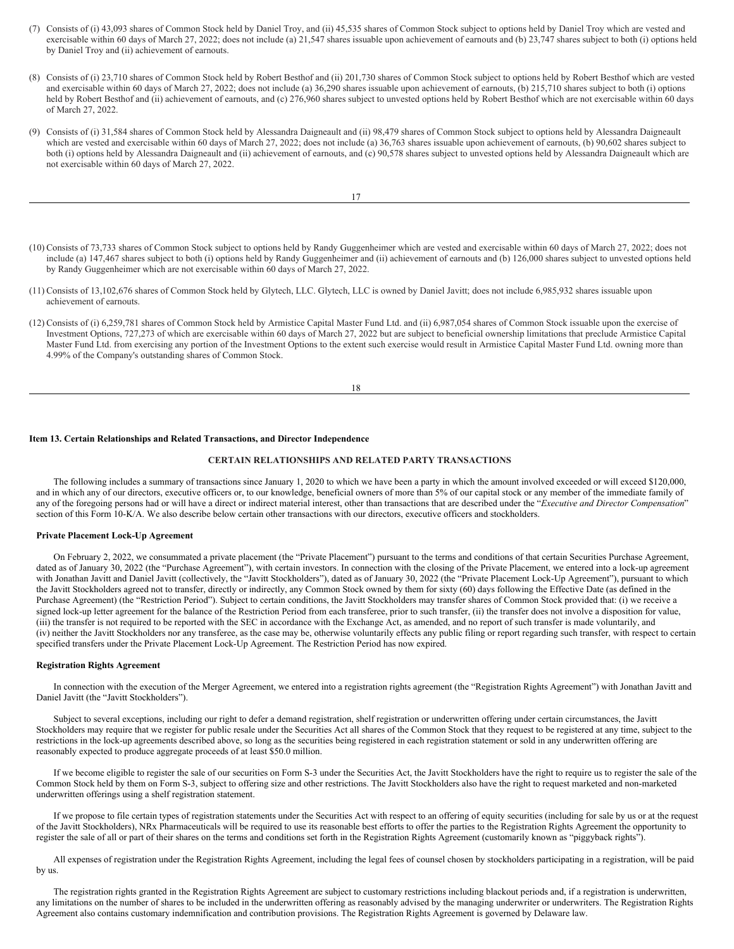- (7) Consists of (i) 43,093 shares of Common Stock held by Daniel Troy, and (ii) 45,535 shares of Common Stock subject to options held by Daniel Troy which are vested and exercisable within 60 days of March 27, 2022; does not include (a) 21,547 shares issuable upon achievement of earnouts and (b) 23,747 shares subject to both (i) options held by Daniel Troy and (ii) achievement of earnouts.
- (8) Consists of (i) 23,710 shares of Common Stock held by Robert Besthof and (ii) 201,730 shares of Common Stock subject to options held by Robert Besthof which are vested and exercisable within 60 days of March 27, 2022; does not include (a) 36,290 shares issuable upon achievement of earnouts, (b) 215,710 shares subject to both (i) options held by Robert Besthof and (ii) achievement of earnouts, and (c) 276,960 shares subject to unvested options held by Robert Besthof which are not exercisable within 60 days of March 27, 2022.
- (9) Consists of (i) 31,584 shares of Common Stock held by Alessandra Daigneault and (ii) 98,479 shares of Common Stock subject to options held by Alessandra Daigneault which are vested and exercisable within 60 days of March 27, 2022; does not include (a) 36,763 shares issuable upon achievement of earnouts, (b) 90,602 shares subject to both (i) options held by Alessandra Daigneault and (ii) achievement of earnouts, and (c) 90,578 shares subject to unvested options held by Alessandra Daigneault which are not exercisable within 60 days of March 27, 2022.

17

- (10) Consists of 73,733 shares of Common Stock subject to options held by Randy Guggenheimer which are vested and exercisable within 60 days of March 27, 2022; does not include (a) 147,467 shares subject to both (i) options held by Randy Guggenheimer and (ii) achievement of earnouts and (b) 126,000 shares subject to unvested options held by Randy Guggenheimer which are not exercisable within 60 days of March 27, 2022.
- (11) Consists of 13,102,676 shares of Common Stock held by Glytech, LLC. Glytech, LLC is owned by Daniel Javitt; does not include 6,985,932 shares issuable upon achievement of earnouts.
- (12) Consists of (i) 6,259,781 shares of Common Stock held by Armistice Capital Master Fund Ltd. and (ii) 6,987,054 shares of Common Stock issuable upon the exercise of Investment Options, 727,273 of which are exercisable within 60 days of March 27, 2022 but are subject to beneficial ownership limitations that preclude Armistice Capital Master Fund Ltd. from exercising any portion of the Investment Options to the extent such exercise would result in Armistice Capital Master Fund Ltd. owning more than 4.99% of the Company's outstanding shares of Common Stock.

18

#### **Item 13. Certain Relationships and Related Transactions, and Director Independence**

## **CERTAIN RELATIONSHIPS AND RELATED PARTY TRANSACTIONS**

The following includes a summary of transactions since January 1, 2020 to which we have been a party in which the amount involved exceeded or will exceed \$120,000, and in which any of our directors, executive officers or, to our knowledge, beneficial owners of more than 5% of our capital stock or any member of the immediate family of any of the foregoing persons had or will have a direct or indirect material interest, other than transactions that are described under the "*Executive and Director Compensation*" section of this Form 10-K/A. We also describe below certain other transactions with our directors, executive officers and stockholders.

#### **Private Placement Lock-Up Agreement**

On February 2, 2022, we consummated a private placement (the "Private Placement") pursuant to the terms and conditions of that certain Securities Purchase Agreement, dated as of January 30, 2022 (the "Purchase Agreement"), with certain investors. In connection with the closing of the Private Placement, we entered into a lock-up agreement with Jonathan Javitt and Daniel Javitt (collectively, the "Javitt Stockholders"), dated as of January 30, 2022 (the "Private Placement Lock-Up Agreement"), pursuant to which the Javitt Stockholders agreed not to transfer, directly or indirectly, any Common Stock owned by them for sixty (60) days following the Effective Date (as defined in the Purchase Agreement) (the "Restriction Period"). Subject to certain conditions, the Javitt Stockholders may transfer shares of Common Stock provided that: (i) we receive a signed lock-up letter agreement for the balance of the Restriction Period from each transferee, prior to such transfer, (ii) the transfer does not involve a disposition for value, (iii) the transfer is not required to be reported with the SEC in accordance with the Exchange Act, as amended, and no report of such transfer is made voluntarily, and (iv) neither the Javitt Stockholders nor any transferee, as the case may be, otherwise voluntarily effects any public filing or report regarding such transfer, with respect to certain specified transfers under the Private Placement Lock-Up Agreement. The Restriction Period has now expired.

#### **Registration Rights Agreement**

In connection with the execution of the Merger Agreement, we entered into a registration rights agreement (the "Registration Rights Agreement") with Jonathan Javitt and Daniel Javitt (the "Javitt Stockholders").

Subject to several exceptions, including our right to defer a demand registration, shelf registration or underwritten offering under certain circumstances, the Javitt Stockholders may require that we register for public resale under the Securities Act all shares of the Common Stock that they request to be registered at any time, subject to the restrictions in the lock-up agreements described above, so long as the securities being registered in each registration statement or sold in any underwritten offering are reasonably expected to produce aggregate proceeds of at least \$50.0 million.

If we become eligible to register the sale of our securities on Form S-3 under the Securities Act, the Javitt Stockholders have the right to require us to register the sale of the Common Stock held by them on Form S-3, subject to offering size and other restrictions. The Javitt Stockholders also have the right to request marketed and non-marketed underwritten offerings using a shelf registration statement.

If we propose to file certain types of registration statements under the Securities Act with respect to an offering of equity securities (including for sale by us or at the request of the Javitt Stockholders), NRx Pharmaceuticals will be required to use its reasonable best efforts to offer the parties to the Registration Rights Agreement the opportunity to register the sale of all or part of their shares on the terms and conditions set forth in the Registration Rights Agreement (customarily known as "piggyback rights").

All expenses of registration under the Registration Rights Agreement, including the legal fees of counsel chosen by stockholders participating in a registration, will be paid by us.

The registration rights granted in the Registration Rights Agreement are subject to customary restrictions including blackout periods and, if a registration is underwritten, any limitations on the number of shares to be included in the underwritten offering as reasonably advised by the managing underwriter or underwriters. The Registration Rights Agreement also contains customary indemnification and contribution provisions. The Registration Rights Agreement is governed by Delaware law.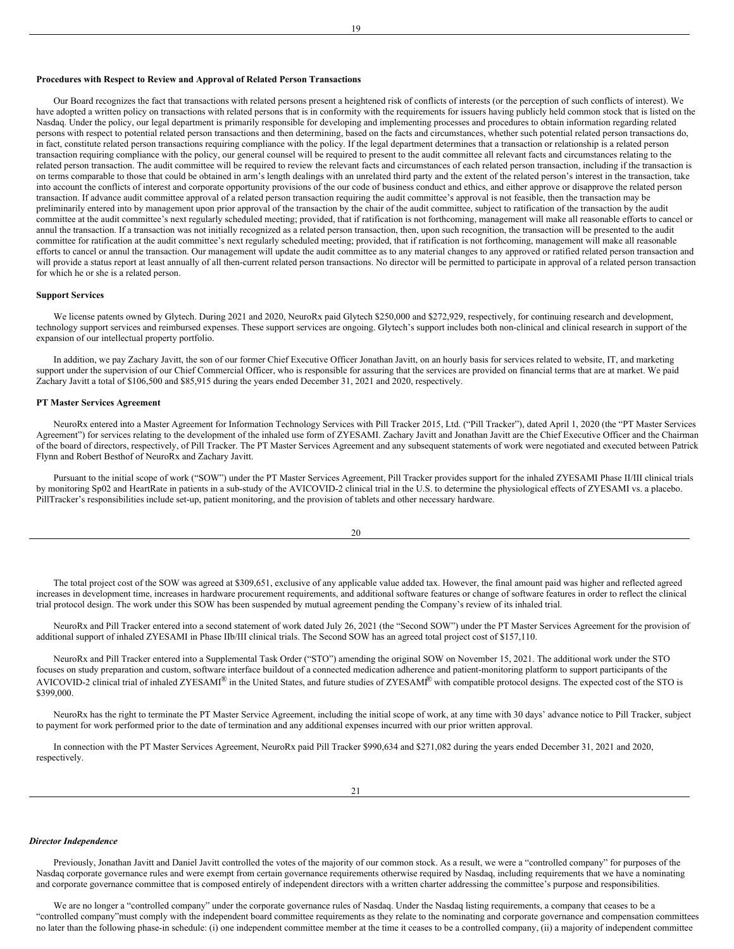## **Procedures with Respect to Review and Approval of Related Person Transactions**

Our Board recognizes the fact that transactions with related persons present a heightened risk of conflicts of interests (or the perception of such conflicts of interest). We have adopted a written policy on transactions with related persons that is in conformity with the requirements for issuers having publicly held common stock that is listed on the Nasdaq. Under the policy, our legal department is primarily responsible for developing and implementing processes and procedures to obtain information regarding related persons with respect to potential related person transactions and then determining, based on the facts and circumstances, whether such potential related person transactions do, in fact, constitute related person transactions requiring compliance with the policy. If the legal department determines that a transaction or relationship is a related person transaction requiring compliance with the policy, our general counsel will be required to present to the audit committee all relevant facts and circumstances relating to the related person transaction. The audit committee will be required to review the relevant facts and circumstances of each related person transaction, including if the transaction is on terms comparable to those that could be obtained in arm's length dealings with an unrelated third party and the extent of the related person's interest in the transaction, take into account the conflicts of interest and corporate opportunity provisions of the our code of business conduct and ethics, and either approve or disapprove the related person transaction. If advance audit committee approval of a related person transaction requiring the audit committee's approval is not feasible, then the transaction may be preliminarily entered into by management upon prior approval of the transaction by the chair of the audit committee, subject to ratification of the transaction by the audit committee at the audit committee's next regularly scheduled meeting; provided, that if ratification is not forthcoming, management will make all reasonable efforts to cancel or annul the transaction. If a transaction was not initially recognized as a related person transaction, then, upon such recognition, the transaction will be presented to the audit committee for ratification at the audit committee's next regularly scheduled meeting; provided, that if ratification is not forthcoming, management will make all reasonable efforts to cancel or annul the transaction. Our management will update the audit committee as to any material changes to any approved or ratified related person transaction and will provide a status report at least annually of all then-current related person transactions. No director will be permitted to participate in approval of a related person transaction for which he or she is a related person.

#### **Support Services**

We license patents owned by Glytech. During 2021 and 2020, NeuroRx paid Glytech \$250,000 and \$272,929, respectively, for continuing research and development, technology support services and reimbursed expenses. These support services are ongoing. Glytech's support includes both non-clinical and clinical research in support of the expansion of our intellectual property portfolio.

In addition, we pay Zachary Javitt, the son of our former Chief Executive Officer Jonathan Javitt, on an hourly basis for services related to website, IT, and marketing support under the supervision of our Chief Commercial Officer, who is responsible for assuring that the services are provided on financial terms that are at market. We paid Zachary Javitt a total of \$106,500 and \$85,915 during the years ended December 31, 2021 and 2020, respectively.

#### **PT Master Services Agreement**

NeuroRx entered into a Master Agreement for Information Technology Services with Pill Tracker 2015, Ltd. ("Pill Tracker"), dated April 1, 2020 (the "PT Master Services Agreement") for services relating to the development of the inhaled use form of ZYESAMI. Zachary Javitt and Jonathan Javitt are the Chief Executive Officer and the Chairman of the board of directors, respectively, of Pill Tracker. The PT Master Services Agreement and any subsequent statements of work were negotiated and executed between Patrick Flynn and Robert Besthof of NeuroRx and Zachary Javitt.

Pursuant to the initial scope of work ("SOW") under the PT Master Services Agreement, Pill Tracker provides support for the inhaled ZYESAMI Phase II/III clinical trials by monitoring Sp02 and HeartRate in patients in a sub-study of the AVICOVID-2 clinical trial in the U.S. to determine the physiological effects of ZYESAMI vs. a placebo. PillTracker's responsibilities include set-up, patient monitoring, and the provision of tablets and other necessary hardware.

| ×<br>ł | I             |  |
|--------|---------------|--|
| I      | ۰.<br>×<br>۰. |  |

The total project cost of the SOW was agreed at \$309,651, exclusive of any applicable value added tax. However, the final amount paid was higher and reflected agreed increases in development time, increases in hardware procurement requirements, and additional software features or change of software features in order to reflect the clinical trial protocol design. The work under this SOW has been suspended by mutual agreement pending the Company's review of its inhaled trial.

NeuroRx and Pill Tracker entered into a second statement of work dated July 26, 2021 (the "Second SOW") under the PT Master Services Agreement for the provision of additional support of inhaled ZYESAMI in Phase IIb/III clinical trials. The Second SOW has an agreed total project cost of \$157,110.

NeuroRx and Pill Tracker entered into a Supplemental Task Order ("STO") amending the original SOW on November 15, 2021. The additional work under the STO focuses on study preparation and custom, software interface buildout of a connected medication adherence and patient-monitoring platform to support participants of the AVICOVID-2 clinical trial of inhaled ZYESAMI<sup>®</sup> in the United States, and future studies of ZYESAMI<sup>®</sup> with compatible protocol designs. The expected cost of the STO is \$399,000.

NeuroRx has the right to terminate the PT Master Service Agreement, including the initial scope of work, at any time with 30 days' advance notice to Pill Tracker, subject to payment for work performed prior to the date of termination and any additional expenses incurred with our prior written approval.

In connection with the PT Master Services Agreement, NeuroRx paid Pill Tracker \$990,634 and \$271,082 during the years ended December 31, 2021 and 2020, respectively.

#### *Director Independence*

Previously, Jonathan Javitt and Daniel Javitt controlled the votes of the majority of our common stock. As a result, we were a "controlled company" for purposes of the Nasdaq corporate governance rules and were exempt from certain governance requirements otherwise required by Nasdaq, including requirements that we have a nominating and corporate governance committee that is composed entirely of independent directors with a written charter addressing the committee's purpose and responsibilities.

We are no longer a "controlled company" under the corporate governance rules of Nasdaq. Under the Nasdaq listing requirements, a company that ceases to be a "controlled company"must comply with the independent board committee requirements as they relate to the nominating and corporate governance and compensation committees no later than the following phase-in schedule: (i) one independent committee member at the time it ceases to be a controlled company, (ii) a majority of independent committee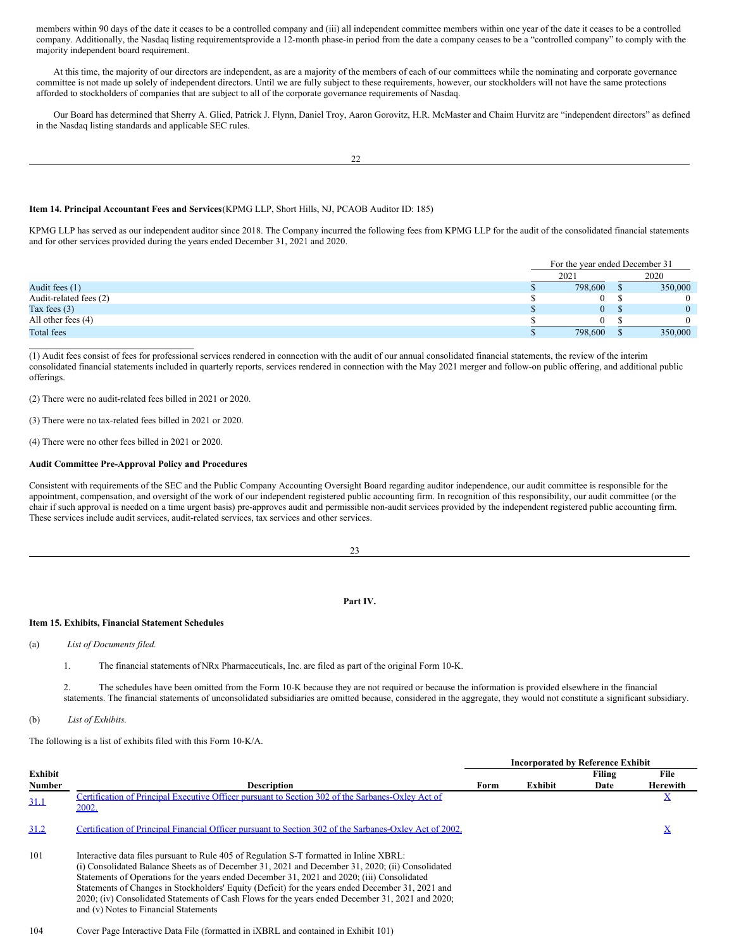members within 90 days of the date it ceases to be a controlled company and (iii) all independent committee members within one year of the date it ceases to be a controlled company. Additionally, the Nasdaq listing requirementsprovide a 12-month phase-in period from the date a company ceases to be a "controlled company" to comply with the majority independent board requirement.

At this time, the majority of our directors are independent, as are a majority of the members of each of our committees while the nominating and corporate governance committee is not made up solely of independent directors. Until we are fully subject to these requirements, however, our stockholders will not have the same protections afforded to stockholders of companies that are subject to all of the corporate governance requirements of Nasdaq.

Our Board has determined that Sherry A. Glied, Patrick J. Flynn, Daniel Troy, Aaron Gorovitz, H.R. McMaster and Chaim Hurvitz are "independent directors" as defined in the Nasdaq listing standards and applicable SEC rules.

## **Item 14. Principal Accountant Fees and Services**(KPMG LLP, Short Hills, NJ, PCAOB Auditor ID: 185)

KPMG LLP has served as our independent auditor since 2018. The Company incurred the following fees from KPMG LLP for the audit of the consolidated financial statements and for other services provided during the years ended December 31, 2021 and 2020.

|                        | For the year ended December 31 |  |          |  |  |
|------------------------|--------------------------------|--|----------|--|--|
|                        | 2021                           |  | 2020     |  |  |
| Audit fees (1)         | 798,600                        |  | 350,000  |  |  |
| Audit-related fees (2) |                                |  | $\theta$ |  |  |
| Tax fees $(3)$         | $\mathbf{0}$                   |  | 0        |  |  |
| All other fees $(4)$   |                                |  | 0        |  |  |
| Total fees             | 798,600                        |  | 350,000  |  |  |

(1) Audit fees consist of fees for professional services rendered in connection with the audit of our annual consolidated financial statements, the review of the interim consolidated financial statements included in quarterly reports, services rendered in connection with the May 2021 merger and follow-on public offering, and additional public offerings.

(2) There were no audit-related fees billed in 2021 or 2020.

(3) There were no tax-related fees billed in 2021 or 2020.

(4) There were no other fees billed in 2021 or 2020.

#### **Audit Committee Pre-Approval Policy and Procedures**

Consistent with requirements of the SEC and the Public Company Accounting Oversight Board regarding auditor independence, our audit committee is responsible for the appointment, compensation, and oversight of the work of our independent registered public accounting firm. In recognition of this responsibility, our audit committee (or the chair if such approval is needed on a time urgent basis) pre-approves audit and permissible non-audit services provided by the independent registered public accounting firm. These services include audit services, audit-related services, tax services and other services.

23

## **Part IV.**

## **Item 15. Exhibits, Financial Statement Schedules**

(a) *List of Documents filed.*

1. The financial statements of NRx Pharmaceuticals, Inc. are filed as part of the original Form 10-K.

2. The schedules have been omitted from the Form 10-K because they are not required or because the information is provided elsewhere in the financial statements. The financial statements of unconsolidated subsidiaries are omitted because, considered in the aggregate, they would not constitute a significant subsidiary.

(b) *List of Exhibits*.

The following is a list of exhibits filed with this Form 10-K/A.

|               |                                                                                                                                                                                                                                                                                                                                                                                                                                                                                                                                              | <b>Incorporated by Reference Exhibit</b> |         |        |                 |
|---------------|----------------------------------------------------------------------------------------------------------------------------------------------------------------------------------------------------------------------------------------------------------------------------------------------------------------------------------------------------------------------------------------------------------------------------------------------------------------------------------------------------------------------------------------------|------------------------------------------|---------|--------|-----------------|
| Exhibit       |                                                                                                                                                                                                                                                                                                                                                                                                                                                                                                                                              |                                          |         | Filing | File            |
| <b>Number</b> | <b>Description</b>                                                                                                                                                                                                                                                                                                                                                                                                                                                                                                                           | Form                                     | Exhibit | Date   | <b>Herewith</b> |
| 31.1          | Certification of Principal Executive Officer pursuant to Section 302 of the Sarbanes-Oxley Act of<br>2002.                                                                                                                                                                                                                                                                                                                                                                                                                                   |                                          |         |        |                 |
| 31.2          | Certification of Principal Financial Officer pursuant to Section 302 of the Sarbanes-Oxley Act of 2002.                                                                                                                                                                                                                                                                                                                                                                                                                                      |                                          |         |        |                 |
| 101           | Interactive data files pursuant to Rule 405 of Regulation S-T formatted in Inline XBRL:<br>(i) Consolidated Balance Sheets as of December 31, 2021 and December 31, 2020; (ii) Consolidated<br>Statements of Operations for the years ended December 31, 2021 and 2020; (iii) Consolidated<br>Statements of Changes in Stockholders' Equity (Deficit) for the years ended December 31, 2021 and<br>2020; (iv) Consolidated Statements of Cash Flows for the years ended December 31, 2021 and 2020;<br>and (v) Notes to Financial Statements |                                          |         |        |                 |

## 104 Cover Page Interactive Data File (formatted in iXBRL and contained in Exhibit 101)